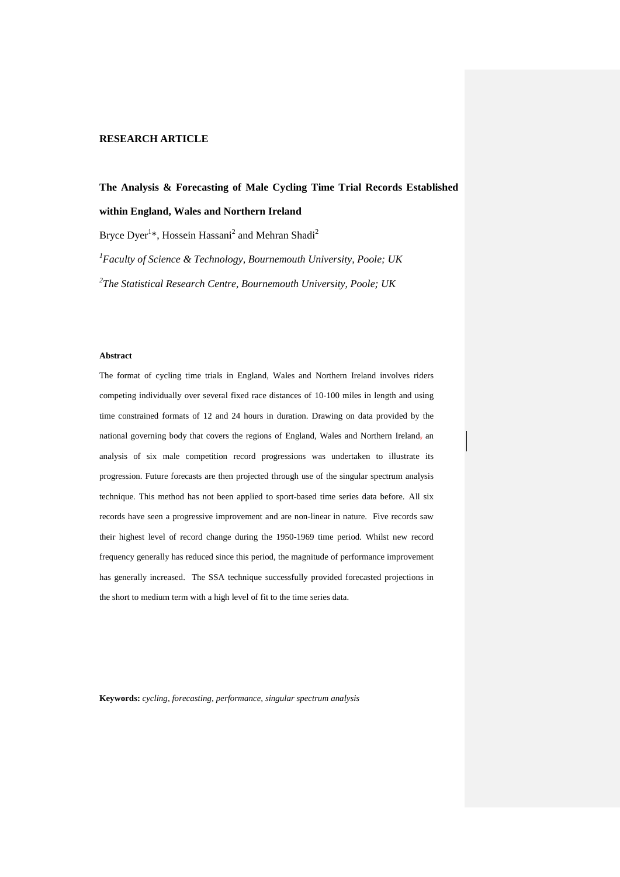# **RESEARCH ARTICLE**

# **The Analysis & Forecasting of Male Cycling Time Trial Records Established within England, Wales and Northern Ireland**

Bryce Dyer<sup>1\*</sup>, Hossein Hassani<sup>2</sup> and Mehran Shadi<sup>2</sup>

*1 Faculty of Science & Technology, Bournemouth University, Poole; UK 2 The Statistical Research Centre, Bournemouth University, Poole; UK*

#### **Abstract**

The format of cycling time trials in England, Wales and Northern Ireland involves riders competing individually over several fixed race distances of 10-100 miles in length and using time constrained formats of 12 and 24 hours in duration. Drawing on data provided by the national governing body that covers the regions of England, Wales and Northern Ireland, an analysis of six male competition record progressions was undertaken to illustrate its progression. Future forecasts are then projected through use of the singular spectrum analysis technique. This method has not been applied to sport-based time series data before. All six records have seen a progressive improvement and are non-linear in nature. Five records saw their highest level of record change during the 1950-1969 time period. Whilst new record frequency generally has reduced since this period, the magnitude of performance improvement has generally increased. The SSA technique successfully provided forecasted projections in the short to medium term with a high level of fit to the time series data.

**Keywords:** *cycling, forecasting, performance, singular spectrum analysis*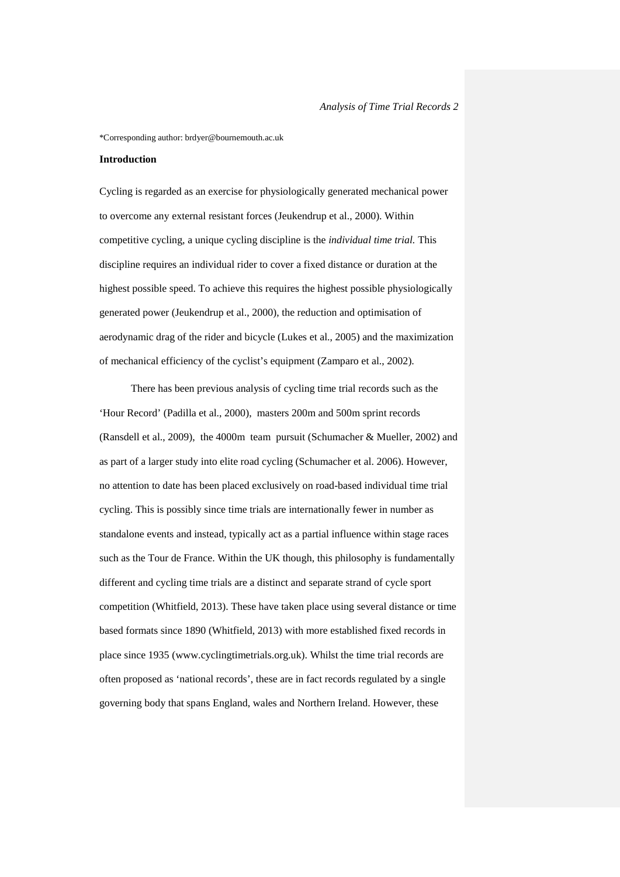\*Corresponding author: brdyer@bournemouth.ac.uk

# **Introduction**

Cycling is regarded as an exercise for physiologically generated mechanical power to overcome any external resistant forces (Jeukendrup et al., 2000). Within competitive cycling, a unique cycling discipline is the *individual time trial.* This discipline requires an individual rider to cover a fixed distance or duration at the highest possible speed. To achieve this requires the highest possible physiologically generated power (Jeukendrup et al., 2000), the reduction and optimisation of aerodynamic drag of the rider and bicycle (Lukes et al., 2005) and the maximization of mechanical efficiency of the cyclist's equipment (Zamparo et al., 2002).

There has been previous analysis of cycling time trial records such as the 'Hour Record' (Padilla et al., 2000), masters 200m and 500m sprint records (Ransdell et al., 2009), the 4000m team pursuit (Schumacher & Mueller, 2002) and as part of a larger study into elite road cycling (Schumacher et al. 2006). However, no attention to date has been placed exclusively on road-based individual time trial cycling. This is possibly since time trials are internationally fewer in number as standalone events and instead, typically act as a partial influence within stage races such as the Tour de France. Within the UK though, this philosophy is fundamentally different and cycling time trials are a distinct and separate strand of cycle sport competition (Whitfield, 2013). These have taken place using several distance or time based formats since 1890 (Whitfield, 2013) with more established fixed records in place since 1935 (www.cyclingtimetrials.org.uk). Whilst the time trial records are often proposed as 'national records', these are in fact records regulated by a single governing body that spans England, wales and Northern Ireland. However, these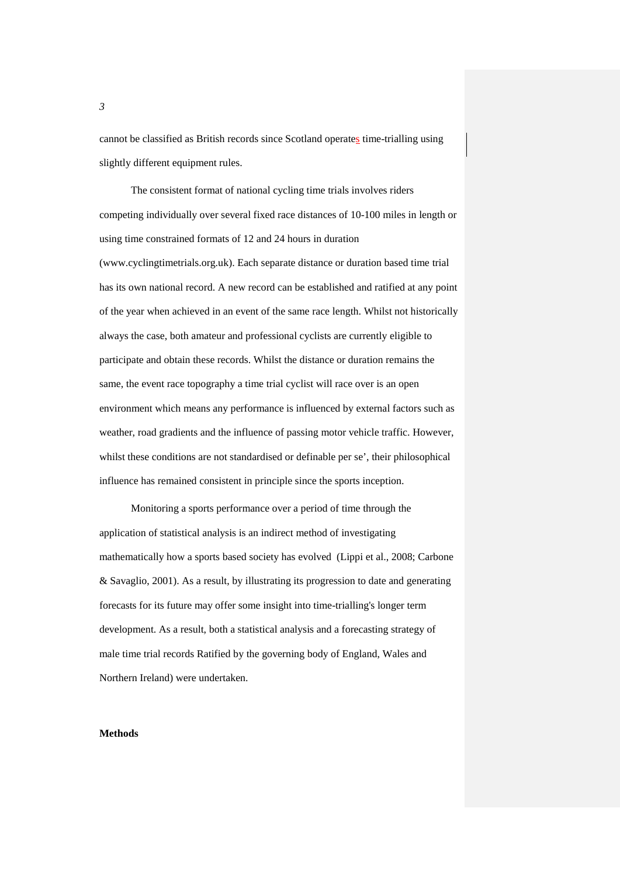cannot be classified as British records since Scotland operates time-trialling using slightly different equipment rules.

The consistent format of national cycling time trials involves riders competing individually over several fixed race distances of 10-100 miles in length or using time constrained formats of 12 and 24 hours in duration (www.cyclingtimetrials.org.uk). Each separate distance or duration based time trial has its own national record. A new record can be established and ratified at any point of the year when achieved in an event of the same race length. Whilst not historically always the case, both amateur and professional cyclists are currently eligible to participate and obtain these records. Whilst the distance or duration remains the same, the event race topography a time trial cyclist will race over is an open environment which means any performance is influenced by external factors such as weather, road gradients and the influence of passing motor vehicle traffic. However, whilst these conditions are not standardised or definable per se', their philosophical influence has remained consistent in principle since the sports inception.

Monitoring a sports performance over a period of time through the application of statistical analysis is an indirect method of investigating mathematically how a sports based society has evolved (Lippi et al., 2008; Carbone & Savaglio, 2001). As a result, by illustrating its progression to date and generating forecasts for its future may offer some insight into time-trialling's longer term development. As a result, both a statistical analysis and a forecasting strategy of male time trial records Ratified by the governing body of England, Wales and Northern Ireland) were undertaken.

# **Methods**

*3*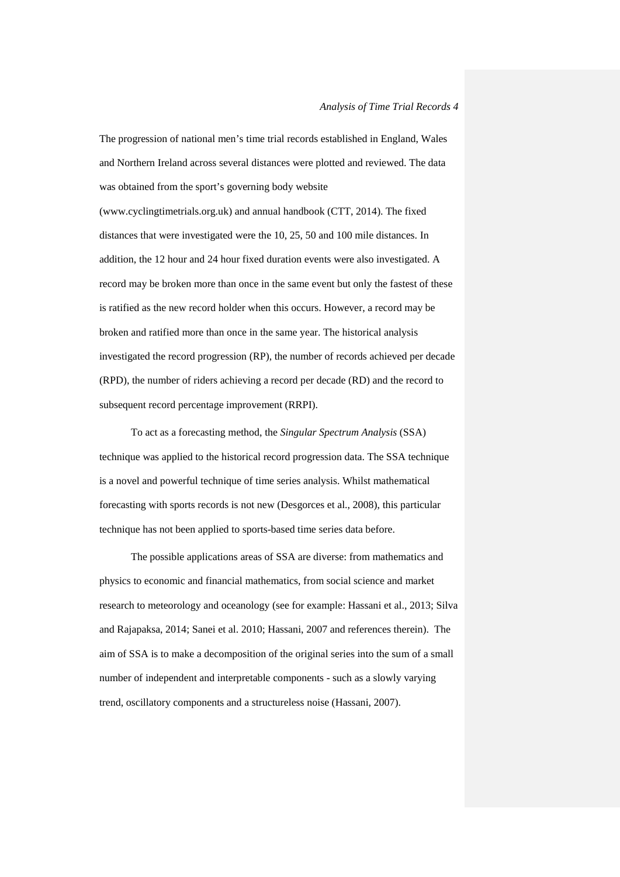The progression of national men's time trial records established in England, Wales and Northern Ireland across several distances were plotted and reviewed. The data was obtained from the sport's governing body website (www.cyclingtimetrials.org.uk) and annual handbook (CTT, 2014). The fixed distances that were investigated were the 10, 25, 50 and 100 mile distances. In addition, the 12 hour and 24 hour fixed duration events were also investigated. A record may be broken more than once in the same event but only the fastest of these is ratified as the new record holder when this occurs. However, a record may be broken and ratified more than once in the same year. The historical analysis investigated the record progression (RP), the number of records achieved per decade (RPD), the number of riders achieving a record per decade (RD) and the record to subsequent record percentage improvement (RRPI).

To act as a forecasting method, the *Singular Spectrum Analysis* (SSA) technique was applied to the historical record progression data. The SSA technique is a novel and powerful technique of time series analysis. Whilst mathematical forecasting with sports records is not new (Desgorces et al., 2008), this particular technique has not been applied to sports-based time series data before.

The possible applications areas of SSA are diverse: from mathematics and physics to economic and financial mathematics, from social science and market research to meteorology and oceanology (see for example: Hassani et al., 2013; Silva and Rajapaksa, 2014; Sanei et al. 2010; Hassani, 2007 and references therein). The aim of SSA is to make a decomposition of the original series into the sum of a small number of independent and interpretable components - such as a slowly varying trend, oscillatory components and a structureless noise (Hassani, 2007).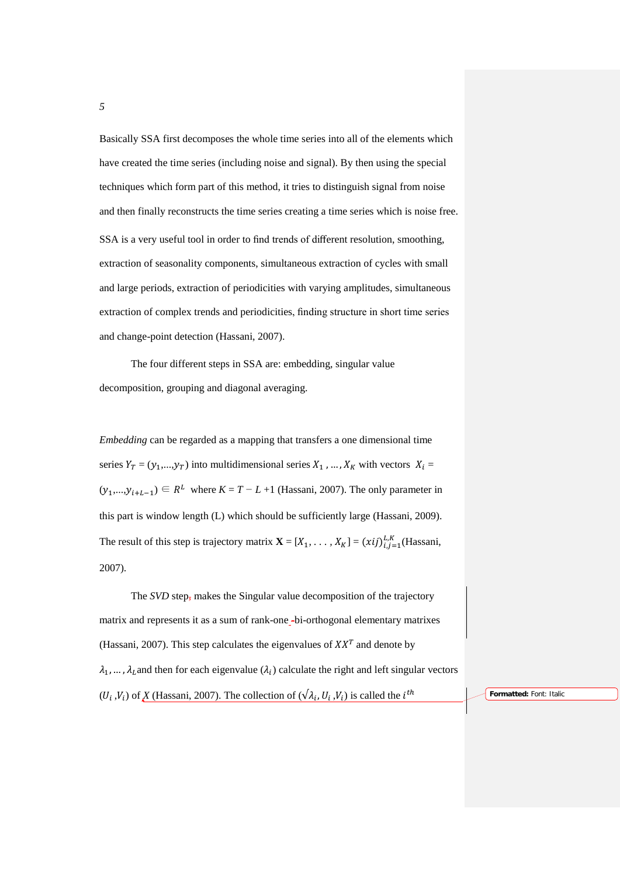Basically SSA first decomposes the whole time series into all of the elements which have created the time series (including noise and signal). By then using the special techniques which form part of this method, it tries to distinguish signal from noise and then finally reconstructs the time series creating a time series which is noise free. SSA is a very useful tool in order to find trends of different resolution, smoothing, extraction of seasonality components, simultaneous extraction of cycles with small and large periods, extraction of periodicities with varying amplitudes, simultaneous extraction of complex trends and periodicities, finding structure in short time series and change-point detection (Hassani, 2007).

The four different steps in SSA are: embedding, singular value decomposition, grouping and diagonal averaging.

*Embedding* can be regarded as a mapping that transfers a one dimensional time series  $Y_T = (y_1,..., y_T)$  into multidimensional series  $X_1$ , ...,  $X_K$  with vectors  $X_i =$  $(y_1,...,y_{i+L-1}) \in R^L$  where  $K = T - L + 1$  (Hassani, 2007). The only parameter in this part is window length (L) which should be sufficiently large (Hassani, 2009). The result of this step is trajectory matrix  $\mathbf{X} = [X_1, \ldots, X_K] = (xij)_{i,j=1}^{L,K}$  (Hassani, 2007).

The *SVD* step, makes the Singular value decomposition of the trajectory matrix and represents it as a sum of rank-one-bi-orthogonal elementary matrixes (Hassani, 2007). This step calculates the eigenvalues of  $XX<sup>T</sup>$  and denote by  $\lambda_1, \ldots, \lambda_l$  and then for each eigenvalue  $(\lambda_i)$  calculate the right and left singular vectors  $(U_i, V_i)$  of *X* (Hassani, 2007). The collection of  $(\sqrt{\lambda_i}, U_i, V_i)$  is called the  $i^{th}$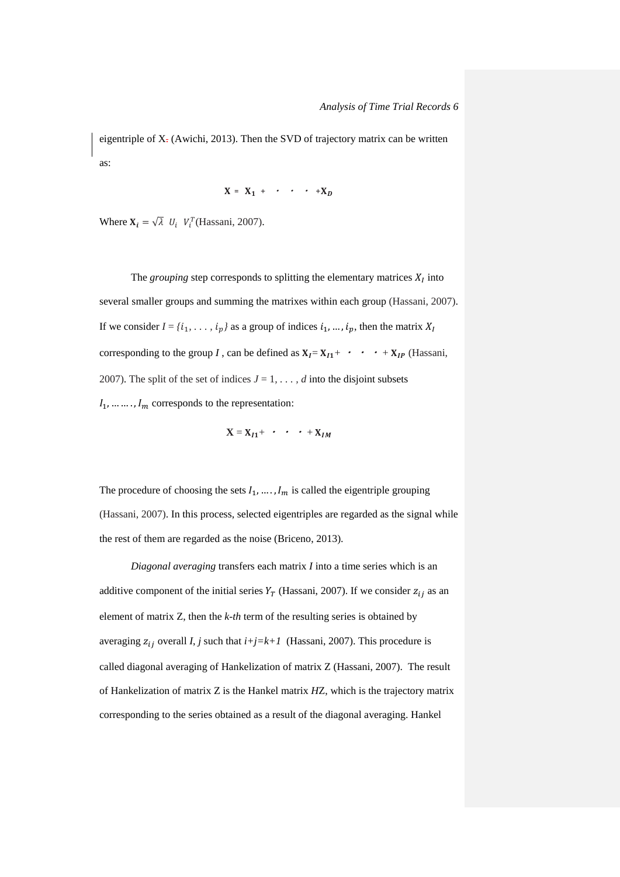eigentriple of X- (Awichi, 2013). Then the SVD of trajectory matrix can be written as:

$$
X = X_1 + \cdot \cdot \cdot + X_D
$$

Where  $X_i = \sqrt{\lambda} U_i V_i^T$  (Hassani, 2007).

The *grouping* step corresponds to splitting the elementary matrices  $X_I$  into several smaller groups and summing the matrixes within each group (Hassani, 2007). If we consider  $I = \{i_1, \ldots, i_p\}$  as a group of indices  $i_1, \ldots, i_p$ , then the matrix  $X_I$ corresponding to the group *I*, can be defined as  $X_I = X_{I1} + \cdot \cdot \cdot + X_{IP}$  (Hassani, 2007). The split of the set of indices  $J = 1, \ldots, d$  into the disjoint subsets  $l_1, \ldots, l_m$  corresponds to the representation:

$$
\mathbf{X} = \mathbf{X}_{I1} + \cdot \cdot \cdot + \mathbf{X}_{IM}
$$

The procedure of choosing the sets  $I_1, \ldots, I_m$  is called the eigentriple grouping (Hassani, 2007). In this process, selected eigentriples are regarded as the signal while the rest of them are regarded as the noise (Briceno, 2013).

*Diagonal averaging* transfers each matrix *I* into a time series which is an additive component of the initial series  $Y_T$  (Hassani, 2007). If we consider  $z_{ij}$  as an element of matrix Z, then the *k-th* term of the resulting series is obtained by averaging  $z_{ij}$  overall *I*, *j* such that  $i+j=k+1$  (Hassani, 2007). This procedure is called diagonal averaging of Hankelization of matrix Z (Hassani, 2007). The result of Hankelization of matrix Z is the Hankel matrix *H*Z, which is the trajectory matrix corresponding to the series obtained as a result of the diagonal averaging. Hankel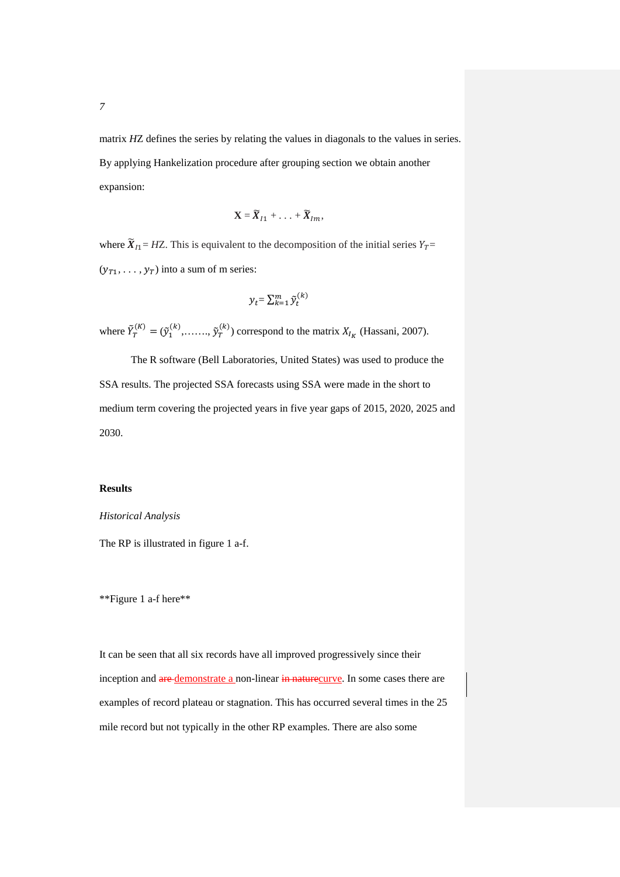matrix *H*Z defines the series by relating the values in diagonals to the values in series. By applying Hankelization procedure after grouping section we obtain another expansion:

$$
\mathbf{X} = \widetilde{\boldsymbol{X}}_{I1} + \ldots + \widetilde{\boldsymbol{X}}_{Im},
$$

where  $\widetilde{X}_{I1}= HZ$ . This is equivalent to the decomposition of the initial series  $Y_T =$  $(y_{T1}, \ldots, y_T)$  into a sum of m series:

$$
y_t = \sum_{k=1}^m \tilde{y}_t^{(k)}
$$

where  $\tilde{Y}_T^{(K)} = (\tilde{y}_1^{(K)}, \dots, \tilde{y}_T^{(K)})$  correspond to the matrix  $X_{I_K}$  (Hassani, 2007).

The R software (Bell Laboratories, United States) was used to produce the SSA results. The projected SSA forecasts using SSA were made in the short to medium term covering the projected years in five year gaps of 2015, 2020, 2025 and 2030.

# **Results**

# *Historical Analysis*

The RP is illustrated in figure 1 a-f.

\*\*Figure 1 a-f here\*\*

It can be seen that all six records have all improved progressively since their inception and are demonstrate a non-linear in naturecurve. In some cases there are examples of record plateau or stagnation. This has occurred several times in the 25 mile record but not typically in the other RP examples. There are also some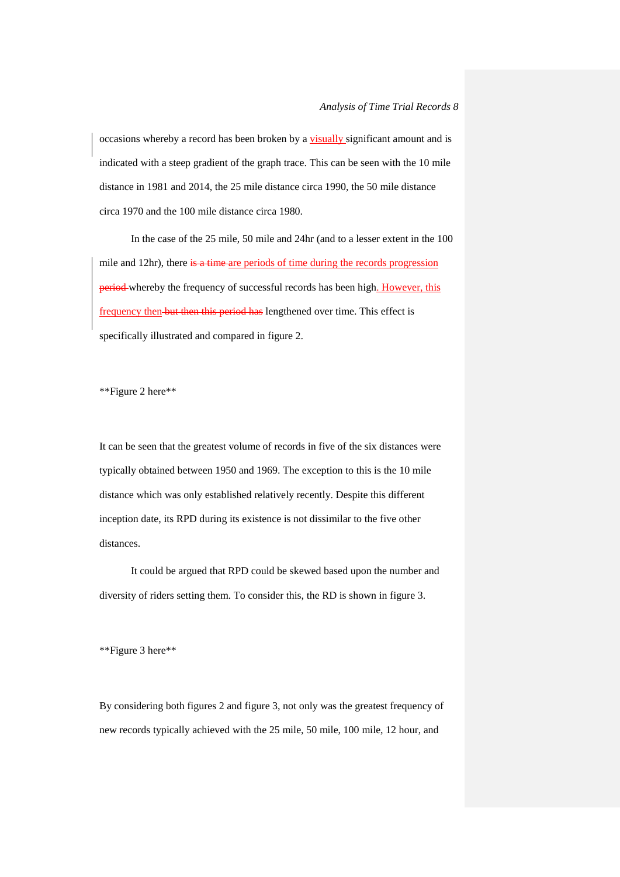occasions whereby a record has been broken by a visually significant amount and is indicated with a steep gradient of the graph trace. This can be seen with the 10 mile distance in 1981 and 2014, the 25 mile distance circa 1990, the 50 mile distance circa 1970 and the 100 mile distance circa 1980.

In the case of the 25 mile, 50 mile and 24hr (and to a lesser extent in the 100 mile and 12hr), there is a time-are periods of time during the records progression period whereby the frequency of successful records has been high. However, this frequency then but then this period has lengthened over time. This effect is specifically illustrated and compared in figure 2.

\*\*Figure 2 here\*\*

It can be seen that the greatest volume of records in five of the six distances were typically obtained between 1950 and 1969. The exception to this is the 10 mile distance which was only established relatively recently. Despite this different inception date, its RPD during its existence is not dissimilar to the five other distances.

It could be argued that RPD could be skewed based upon the number and diversity of riders setting them. To consider this, the RD is shown in figure 3.

\*\*Figure 3 here\*\*

By considering both figures 2 and figure 3, not only was the greatest frequency of new records typically achieved with the 25 mile, 50 mile, 100 mile, 12 hour, and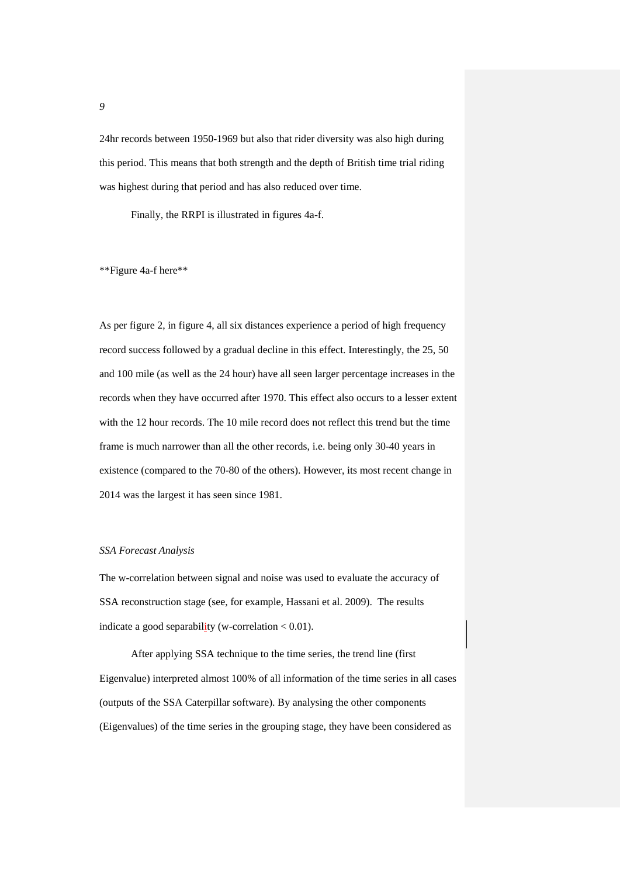24hr records between 1950-1969 but also that rider diversity was also high during this period. This means that both strength and the depth of British time trial riding was highest during that period and has also reduced over time.

Finally, the RRPI is illustrated in figures 4a-f.

\*\*Figure 4a-f here\*\*

As per figure 2, in figure 4, all six distances experience a period of high frequency record success followed by a gradual decline in this effect. Interestingly, the 25, 50 and 100 mile (as well as the 24 hour) have all seen larger percentage increases in the records when they have occurred after 1970. This effect also occurs to a lesser extent with the 12 hour records. The 10 mile record does not reflect this trend but the time frame is much narrower than all the other records, i.e. being only 30-40 years in existence (compared to the 70-80 of the others). However, its most recent change in 2014 was the largest it has seen since 1981.

#### *SSA Forecast Analysis*

The w-correlation between signal and noise was used to evaluate the accuracy of SSA reconstruction stage (see, for example, Hassani et al. 2009). The results indicate a good separabil<u>i</u>ty (w-correlation  $< 0.01$ ).

After applying SSA technique to the time series, the trend line (first Eigenvalue) interpreted almost 100% of all information of the time series in all cases (outputs of the SSA Caterpillar software). By analysing the other components (Eigenvalues) of the time series in the grouping stage, they have been considered as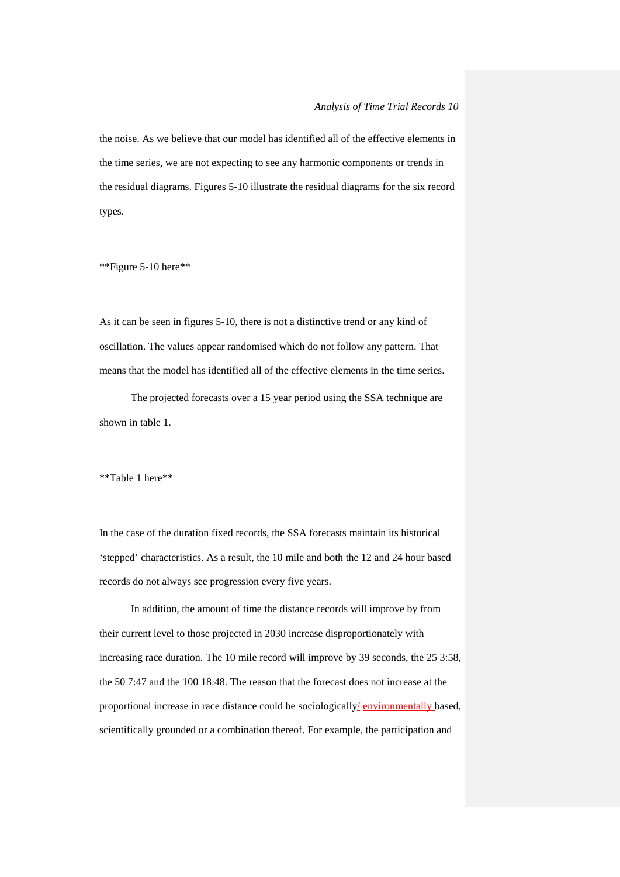the noise. As we believe that our model has identified all of the effective elements in the time series, we are not expecting to see any harmonic components or trends in the residual diagrams. Figures 5-10 illustrate the residual diagrams for the six record types.

\*\*Figure 5-10 here\*\*

As it can be seen in figures 5-10, there is not a distinctive trend or any kind of oscillation. The values appear randomised which do not follow any pattern. That means that the model has identified all of the effective elements in the time series.

The projected forecasts over a 15 year period using the SSA technique are shown in table 1.

\*\*Table 1 here\*\*

In the case of the duration fixed records, the SSA forecasts maintain its historical 'stepped' characteristics. As a result, the 10 mile and both the 12 and 24 hour based records do not always see progression every five years.

In addition, the amount of time the distance records will improve by from their current level to those projected in 2030 increase disproportionately with increasing race duration. The 10 mile record will improve by 39 seconds, the 25 3:58, the 50 7:47 and the 100 18:48. The reason that the forecast does not increase at the proportional increase in race distance could be sociologically/ environmentally based, scientifically grounded or a combination thereof. For example, the participation and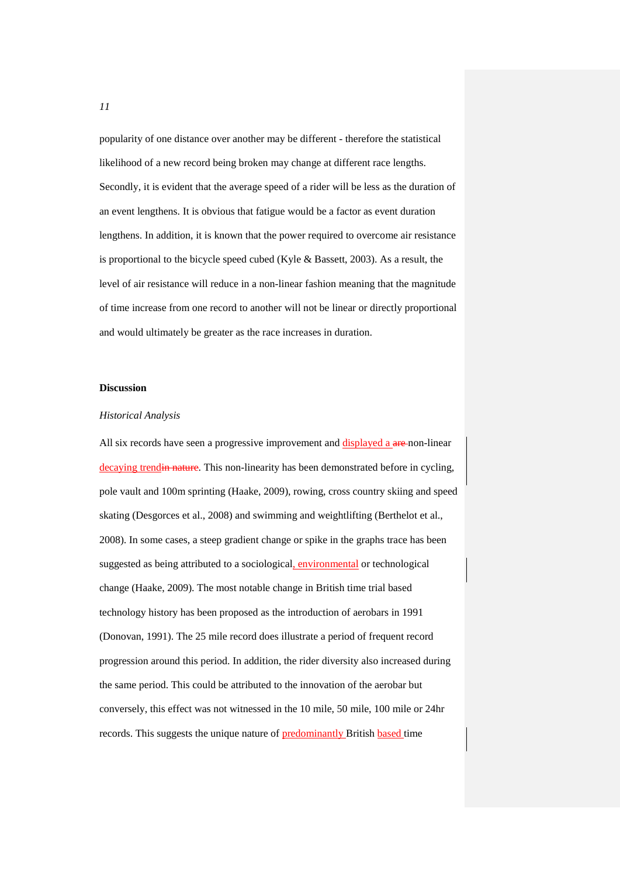popularity of one distance over another may be different - therefore the statistical likelihood of a new record being broken may change at different race lengths. Secondly, it is evident that the average speed of a rider will be less as the duration of an event lengthens. It is obvious that fatigue would be a factor as event duration lengthens. In addition, it is known that the power required to overcome air resistance is proportional to the bicycle speed cubed (Kyle & Bassett, 2003). As a result, the level of air resistance will reduce in a non-linear fashion meaning that the magnitude of time increase from one record to another will not be linear or directly proportional and would ultimately be greater as the race increases in duration.

#### **Discussion**

## *Historical Analysis*

All six records have seen a progressive improvement and displayed a are-non-linear decaying trendin nature. This non-linearity has been demonstrated before in cycling, pole vault and 100m sprinting (Haake, 2009), rowing, cross country skiing and speed skating (Desgorces et al., 2008) and swimming and weightlifting (Berthelot et al., 2008). In some cases, a steep gradient change or spike in the graphs trace has been suggested as being attributed to a sociological, environmental or technological change (Haake, 2009). The most notable change in British time trial based technology history has been proposed as the introduction of aerobars in 1991 (Donovan, 1991). The 25 mile record does illustrate a period of frequent record progression around this period. In addition, the rider diversity also increased during the same period. This could be attributed to the innovation of the aerobar but conversely, this effect was not witnessed in the 10 mile, 50 mile, 100 mile or 24hr records. This suggests the unique nature of **predominantly** British **based** time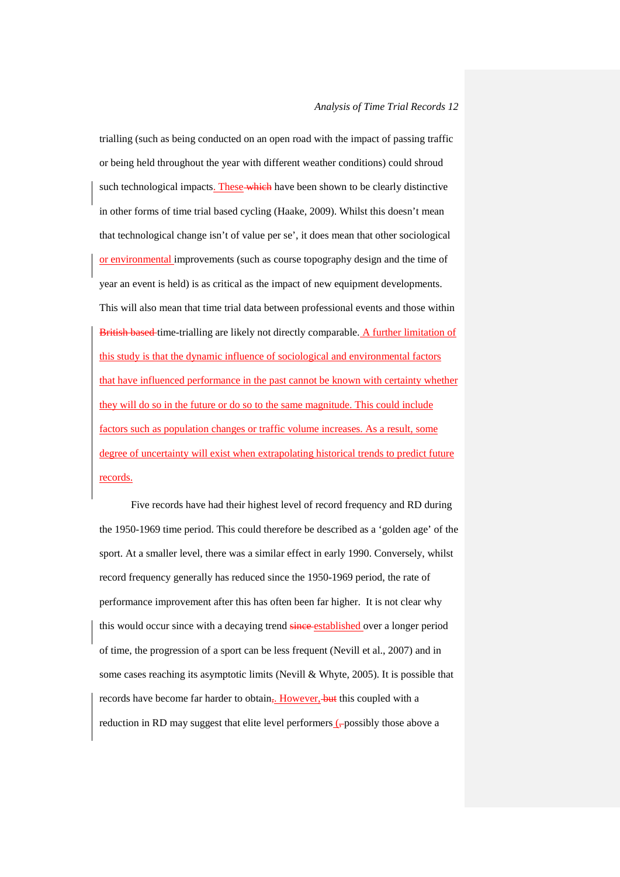# *Analysis of Time Trial Records 12*

trialling (such as being conducted on an open road with the impact of passing traffic or being held throughout the year with different weather conditions) could shroud such technological impacts. These which have been shown to be clearly distinctive in other forms of time trial based cycling (Haake, 2009). Whilst this doesn't mean that technological change isn't of value per se', it does mean that other sociological or environmental improvements (such as course topography design and the time of year an event is held) is as critical as the impact of new equipment developments. This will also mean that time trial data between professional events and those within British based time-trialling are likely not directly comparable. A further limitation of this study is that the dynamic influence of sociological and environmental factors that have influenced performance in the past cannot be known with certainty whether they will do so in the future or do so to the same magnitude. This could include factors such as population changes or traffic volume increases. As a result, some degree of uncertainty will exist when extrapolating historical trends to predict future records.

Five records have had their highest level of record frequency and RD during the 1950-1969 time period. This could therefore be described as a 'golden age' of the sport. At a smaller level, there was a similar effect in early 1990. Conversely, whilst record frequency generally has reduced since the 1950-1969 period, the rate of performance improvement after this has often been far higher. It is not clear why this would occur since with a decaying trend since established over a longer period of time, the progression of a sport can be less frequent (Nevill et al., 2007) and in some cases reaching its asymptotic limits (Nevill & Whyte, 2005). It is possible that records have become far harder to obtain,. However, but this coupled with a reduction in RD may suggest that elite level performers  $($ -possibly those above a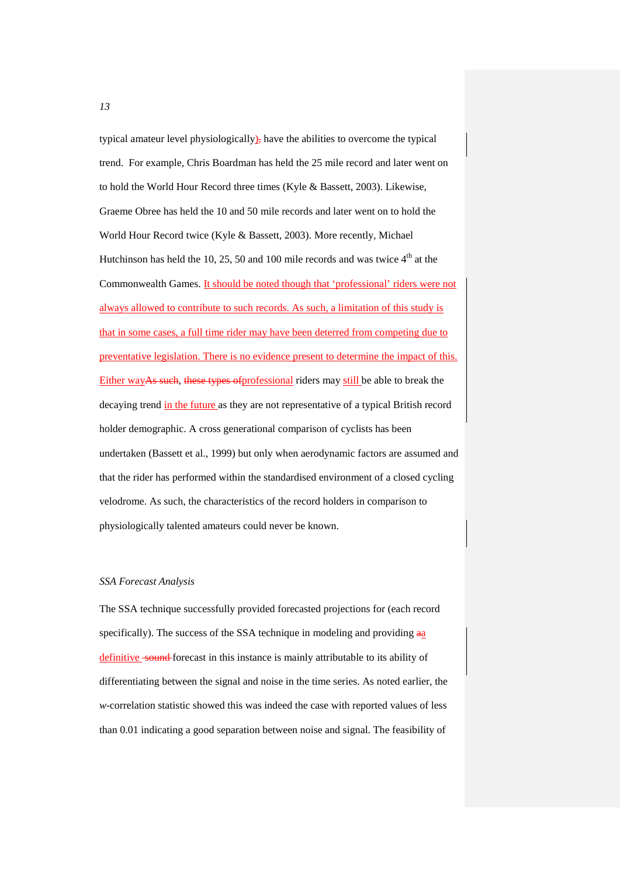typical amateur level physiologically), have the abilities to overcome the typical trend. For example, Chris Boardman has held the 25 mile record and later went on to hold the World Hour Record three times (Kyle & Bassett, 2003). Likewise, Graeme Obree has held the 10 and 50 mile records and later went on to hold the World Hour Record twice (Kyle & Bassett, 2003). More recently, Michael Hutchinson has held the 10, 25, 50 and 100 mile records and was twice  $4<sup>th</sup>$  at the Commonwealth Games. It should be noted though that 'professional' riders were not always allowed to contribute to such records. As such, a limitation of this study is that in some cases, a full time rider may have been deterred from competing due to preventative legislation. There is no evidence present to determine the impact of this. Either wayAs such, these types of professional riders may still be able to break the decaying trend in the future as they are not representative of a typical British record holder demographic. A cross generational comparison of cyclists has been undertaken (Bassett et al., 1999) but only when aerodynamic factors are assumed and that the rider has performed within the standardised environment of a closed cycling velodrome. As such, the characteristics of the record holders in comparison to physiologically talented amateurs could never be known.

#### *SSA Forecast Analysis*

The SSA technique successfully provided forecasted projections for (each record specifically). The success of the SSA technique in modeling and providing aa definitive sound forecast in this instance is mainly attributable to its ability of differentiating between the signal and noise in the time series. As noted earlier, the *w*-correlation statistic showed this was indeed the case with reported values of less than 0.01 indicating a good separation between noise and signal. The feasibility of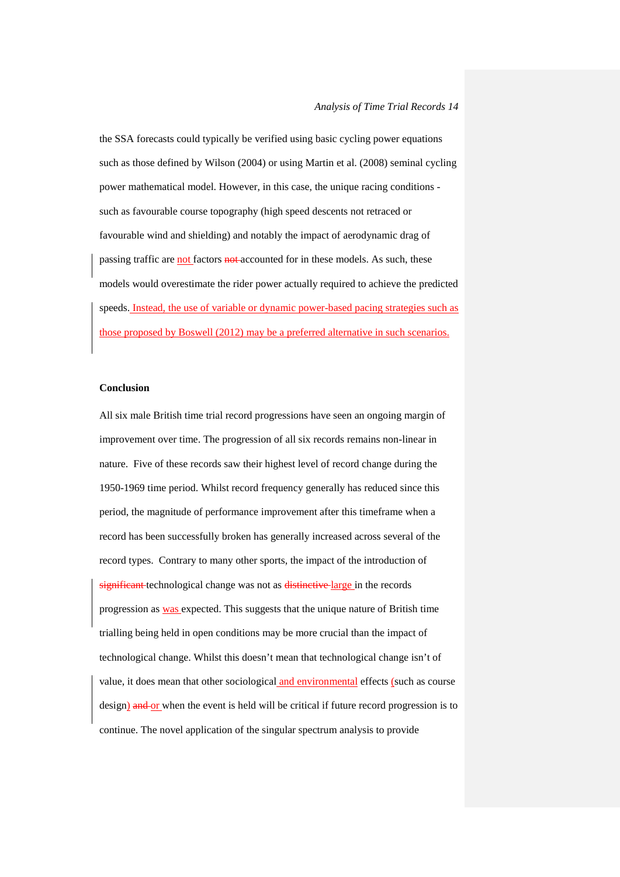the SSA forecasts could typically be verified using basic cycling power equations such as those defined by Wilson (2004) or using Martin et al. (2008) seminal cycling power mathematical model. However, in this case, the unique racing conditions such as favourable course topography (high speed descents not retraced or favourable wind and shielding) and notably the impact of aerodynamic drag of passing traffic are not factors not accounted for in these models. As such, these models would overestimate the rider power actually required to achieve the predicted speeds. Instead, the use of variable or dynamic power-based pacing strategies such as those proposed by Boswell (2012) may be a preferred alternative in such scenarios.

# **Conclusion**

All six male British time trial record progressions have seen an ongoing margin of improvement over time. The progression of all six records remains non-linear in nature. Five of these records saw their highest level of record change during the 1950-1969 time period. Whilst record frequency generally has reduced since this period, the magnitude of performance improvement after this timeframe when a record has been successfully broken has generally increased across several of the record types. Contrary to many other sports, the impact of the introduction of significant technological change was not as distinctive large in the records progression as was expected. This suggests that the unique nature of British time trialling being held in open conditions may be more crucial than the impact of technological change. Whilst this doesn't mean that technological change isn't of value, it does mean that other sociological and environmental effects (such as course design) and or when the event is held will be critical if future record progression is to continue. The novel application of the singular spectrum analysis to provide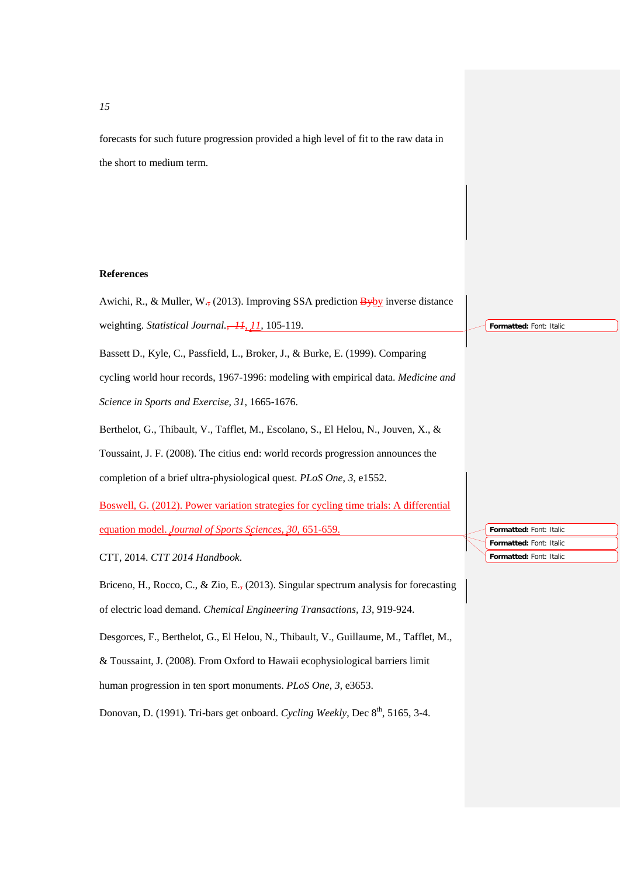forecasts for such future progression provided a high level of fit to the raw data in the short to medium term.

# **References**



*15*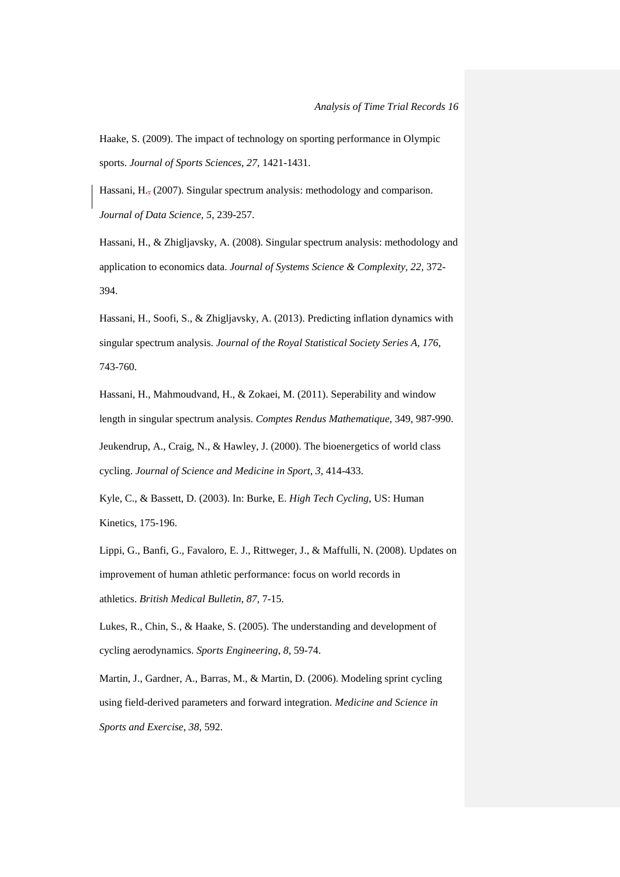Haake, S. (2009). The impact of technology on sporting performance in Olympic sports. *Journal of Sports Sciences*, *27*, 1421-1431.

Hassani, H., (2007). Singular spectrum analysis: methodology and comparison. *Journal of Data Science, 5*, 239-257.

Hassani, H., & Zhigljavsky, A. (2008). Singular spectrum analysis: methodology and application to economics data. *Journal of Systems Science & Complexity, 22,* 372- 394.

Hassani, H., Soofi, S., & Zhigljavsky, A. (2013). Predicting inflation dynamics with singular spectrum analysis. *Journal of the Royal Statistical Society Series A, 176*, 743-760.

Hassani, H., Mahmoudvand, H., & Zokaei, M. (2011). Seperability and window length in singular spectrum analysis. *Comptes Rendus Mathematique*, 349, 987-990. Jeukendrup, A., Craig, N., & Hawley, J. (2000). The bioenergetics of world class cycling. *Journal of Science and Medicine in Sport*, *3*, 414-433.

Kyle, C., & Bassett, D. (2003). In: Burke, E. *High Tech Cycling*, US: Human Kinetics, 175-196.

Lippi, G., Banfi, G., Favaloro, E. J., Rittweger, J., & Maffulli, N. (2008). Updates on improvement of human athletic performance: focus on world records in athletics. *British Medical Bulletin*, *87*, 7-15.

Lukes, R., Chin, S., & Haake, S. (2005). The understanding and development of cycling aerodynamics. *Sports Engineering*, *8*, 59-74.

Martin, J., Gardner, A., Barras, M., & Martin, D. (2006). Modeling sprint cycling using field-derived parameters and forward integration. *Medicine and Science in Sports and Exercise*, *38*, 592.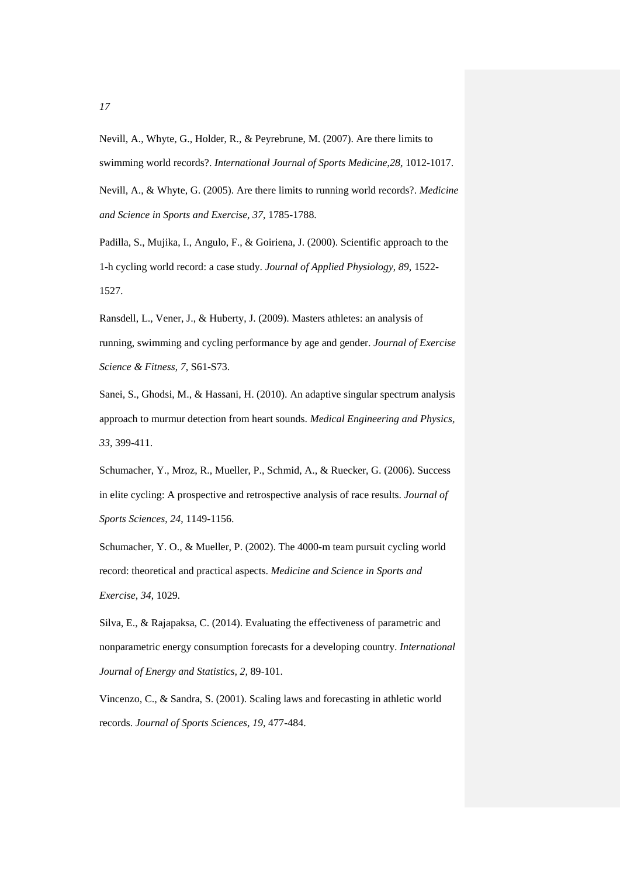Nevill, A., Whyte, G., Holder, R., & Peyrebrune, M. (2007). Are there limits to swimming world records?. *International Journal of Sports Medicine*,*28*, 1012-1017. Nevill, A., & Whyte, G. (2005). Are there limits to running world records?. *Medicine and Science in Sports and Exercise*, *37*, 1785-1788.

Padilla, S., Mujika, I., Angulo, F., & Goiriena, J. (2000). Scientific approach to the 1-h cycling world record: a case study. *Journal of Applied Physiology*, *89*, 1522- 1527.

Ransdell, L., Vener, J., & Huberty, J. (2009). Masters athletes: an analysis of running, swimming and cycling performance by age and gender. *Journal of Exercise Science & Fitness*, *7*, S61-S73.

Sanei, S., Ghodsi, M., & Hassani, H. (2010). An adaptive singular spectrum analysis approach to murmur detection from heart sounds. *Medical Engineering and Physics, 33*, 399-411.

Schumacher, Y., Mroz, R., Mueller, P., Schmid, A., & Ruecker, G. (2006). Success in elite cycling: A prospective and retrospective analysis of race results. *Journal of Sports Sciences*, *24*, 1149-1156.

Schumacher, Y. O., & Mueller, P. (2002). The 4000-m team pursuit cycling world record: theoretical and practical aspects. *Medicine and Science in Sports and Exercise*, *34*, 1029.

Silva, E., & Rajapaksa, C. (2014). Evaluating the effectiveness of parametric and nonparametric energy consumption forecasts for a developing country. *International Journal of Energy and Statistics, 2,* 89-101.

Vincenzo, C., & Sandra, S. (2001). Scaling laws and forecasting in athletic world records. *Journal of Sports Sciences*, *19*, 477-484.